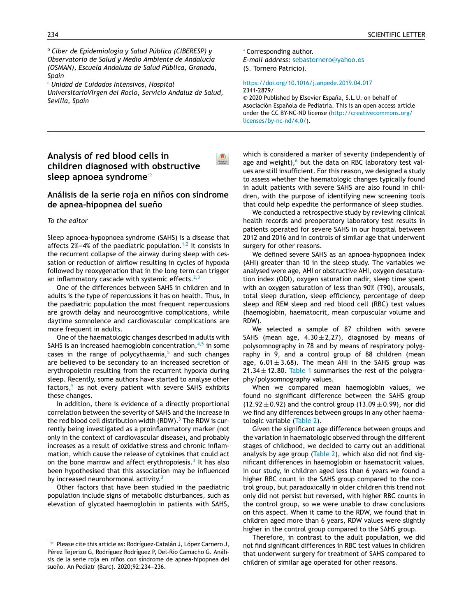<sup>b</sup> *[Ciber](http://refhub.elsevier.com/S2341-2879(19)30077-8/sbref0040) [d](http://refhub.elsevier.com/S2341-2879(19)30077-8/sbref0040)e [Epidemiología](http://refhub.elsevier.com/S2341-2879(19)30077-8/sbref0040) [y](http://refhub.elsevier.com/S2341-2879(19)30077-8/sbref0040) [Salud](http://refhub.elsevier.com/S2341-2879(19)30077-8/sbref0040) [Públic](http://refhub.elsevier.com/S2341-2879(19)30077-8/sbref0040)a [\(CIBERESP\)](http://refhub.elsevier.com/S2341-2879(19)30077-8/sbref0040) y [Observatorio](http://refhub.elsevier.com/S2341-2879(19)30077-8/sbref0040) de [Salu](http://refhub.elsevier.com/S2341-2879(19)30077-8/sbref0040)d y [Medio](http://refhub.elsevier.com/S2341-2879(19)30077-8/sbref0040) A[mbiente](http://refhub.elsevier.com/S2341-2879(19)30077-8/sbref0040) de An[dalucía](http://refhub.elsevier.com/S2341-2879(19)30077-8/sbref0040) [\(OSMAN\),](http://refhub.elsevier.com/S2341-2879(19)30077-8/sbref0040) E[scuela](http://refhub.elsevier.com/S2341-2879(19)30077-8/sbref0040) [Andalu](http://refhub.elsevier.com/S2341-2879(19)30077-8/sbref0040)za de [Salud](http://refhub.elsevier.com/S2341-2879(19)30077-8/sbref0040) Pública, Granada, [Spain](http://refhub.elsevier.com/S2341-2879(19)30077-8/sbref0045)*

<sup>c</sup> *[Unida](http://refhub.elsevier.com/S2341-2879(19)30077-8/sbref0045)d de [Cuidados](http://refhub.elsevier.com/S2341-2879(19)30077-8/sbref0045) [Intensivos,](http://refhub.elsevier.com/S2341-2879(19)30077-8/sbref0045) [Hospital](http://refhub.elsevier.com/S2341-2879(19)30077-8/sbref0045)*

*[UniversitarioVirgen](http://refhub.elsevier.com/S2341-2879(19)30077-8/sbref0045) del [Ro](http://refhub.elsevier.com/S2341-2879(19)30077-8/sbref0045)cío, Servicio Andaluz de Salud, Sevilla, Spain*

<sup>∗</sup> Corresponding author.

 $\bullet$ 

*E-mail address:* [sebastornero@yahoo.es](mailto:sebastornero@yahoo.es) (S. Tornero Patricio).

#### <https://doi.org/10.1016/j.anpede.2019.04.017> 2341-2879/

© 2020 Published by Elsevier España, S.L.U. on behalf of Asociación Española de Pediatría. This is an open access article under the CC BY-NC-ND license [\(http://creativecommons.org/](http://creativecommons.org/licenses/by-nc-nd/4.0/) [licenses/by-nc-nd/4.0/](http://creativecommons.org/licenses/by-nc-nd/4.0/)).

# **[Analysis](http://refhub.elsevier.com/S2341-2879(19)30077-8/sbref0055) [o](http://refhub.elsevier.com/S2341-2879(19)30077-8/sbref0055)f [red](http://refhub.elsevier.com/S2341-2879(19)30077-8/sbref0055) [blood](http://refhub.elsevier.com/S2341-2879(19)30077-8/sbref0055) c[ells](http://refhub.elsevier.com/S2341-2879(19)30077-8/sbref0055) [in](http://refhub.elsevier.com/S2341-2879(19)30077-8/sbref0055) [children](http://refhub.elsevier.com/S2341-2879(19)30077-8/sbref0060) [diagnosed](http://refhub.elsevier.com/S2341-2879(19)30077-8/sbref0060) [with](http://refhub.elsevier.com/S2341-2879(19)30077-8/sbref0060) [obstructive](http://refhub.elsevier.com/S2341-2879(19)30077-8/sbref0060) [sleep](http://refhub.elsevier.com/S2341-2879(19)30077-8/sbref0060) [apnoea](http://refhub.elsevier.com/S2341-2879(19)30077-8/sbref0060) [syndrome](http://refhub.elsevier.com/S2341-2879(19)30077-8/sbref0060)**-

## **Análisis de la serie roja en ninos ˜ con síndrome de apnea-hipopnea del sueno˜**

#### *To the editor*

Sleep apnoea-hypopnoea syndrome (SAHS) is a disease that affects  $2\% - 4\%$  of the paediatric population.<sup>[1,2](#page-1-0)</sup> It consists in the recurrent collapse of the airway during sleep with cessation or reduction of airflow resulting in cycles of h[ypox](http://crossmark.crossref.org/dialog/?doi=10.1016/j.anpede.2019.02.007&domain=pdf)ia followed by reoxygenation that in the long term can trigger an inflammatory cascade with systemic effects. $^{2,3}$  $^{2,3}$  $^{2,3}$ 

One of the differences between SAHS in children and in adults is the type of repercussions it has on health. Thus, in the paediatric population the most frequent repercussions are growth delay and neurocognitive complications, while daytime somnolence and cardiovascular complications are more frequent in adults.

One of the haematologic changes described in adults with SAHS is an increased haemoglobin concentration,  $4,5$  in some cases in the range of polycythaemia, $5$  and such changes are believed to be secondary to an increased secretion of erythropoietin resulting from the recurrent hypoxia during sleep. Recently, some authors have started to analyse other factors,<sup>[5](#page-1-0)</sup> as not every patient with severe SAHS exhibits these changes.

In addition, there is evidence of a directly proportional correlation between the severity of SAHS and the increase in the red blood cell distribution width (RDW).<sup>3</sup> [T](#page-1-0)he RDW is currently being investigated as a proinflammatory marker (not only in the context of cardiovascular disease), and probably increases as a result of oxidative stress and chronic inflammation, which cause the release of cytokines that could act on the bone marrow and affect erythropoiesis.<sup>[3](#page-1-0)</sup> It has also been hypothesised that this association may be influenced by increased neurohormonal activity.<sup>[3](#page-1-0)</sup>

Other factors that have been studied in the paediatric population include signs of metabolic disturbances, such as elevation of glycated haemoglobin in patients with SAHS, which is considered a marker of [severity](mailto:ijordan@sjdhospitalbarcelona.org) (independently of age and weight), $6$  but the data on RBC laboratory test values are still insufficient. For this reason, we designed a study to assess whether the [haematologic](https://doi.org/10.1016/j.anpede.2019.04.003) changes typically found in adult patients with severe SAHS are also found in children, with the purpose of identifying new screening tools that could help [exped](http://creativecommons.org/licenses/by-nc-nd/4.0/)ite the [performance](http://creativecommons.org/licenses/by-nc-nd/4.0/) of [sleep](http://creativecommons.org/licenses/by-nc-nd/4.0/) studies.

[We](http://creativecommons.org/licenses/by-nc-nd/4.0/) conducted a retrospective study by reviewing [clin](http://creativecommons.org/licenses/by-nc-nd/4.0/)ical [hea](http://creativecommons.org/licenses/by-nc-nd/4.0/)lth records and preoperatory laboratory test results in patients operated for severe SAHS in our hospital between 2012 and 2016 and in controls of similar age that underwent surgery for other [reasons.](https://www.barcelona.cat/ca/;)

We defined severe SAHS as an [apnoea-hypopnoea](http://dtes.gencat.cat/icqa/?elementsComparacio=ICQA_Municipi&periode=Setmana) index (AHI) [greater](http://dtes.gencat.cat/icqa/?elementsComparacio=ICQA_Municipi&periode=Setmana) than 10 in the sleep study. The variables we analysed were age, AHI or obstructive AHI, oxygen desaturation index (ODI), oxygen saturation nadir, sleep time spent with an oxygen saturation of less than 90% (T90), arousals, total sleep duration, sleep efficiency, percentage of [dee](https://www.who.int/tb/publications/elimination_framework/en/)p sleep and REM sleep and red [blood](https://www.who.int/tb/publications/elimination_framework/en/) cell (RBC) test values (haemoglobin, haematocrit, mean corpuscular volume and RDW).

We [selected](https://www.who.int/tb/publications/global_report/en/) a sample of 87 children with severe SAHS (mean age,  $4.30 \pm 2.27$ ), diagnosed by means of polysomnography in 78 and by means of respiratory polygraphy in 9, and a control group of 88 children (mean age,  $6.01 \pm 3.68$ ). The mean AHI in the SAHS [group](http://www.sciencedirect.com/science/article/pii/S1695403306700066) was  $21.34 \pm 12.80$ . [Table](#page-1-0) 1 summarises the rest of the polygraphy/polysomnography values.

When we compared mean haemoglobin values, we found no significant difference between the SAHS group (12.92  $\pm$  0.92) and the control group (13.09  $\pm$  [0.99\),](http://www.isciii.es/ISCIII/es/contenidos/fd-servicios-cientifico-tecnicos/fd-vigilancias-alertas/fd-enfermedades/pdf_2019/RENAVE_TBC_2016.pdf) nor did we find any [differences](http://www.isciii.es/ISCIII/es/contenidos/fd-servicios-cientifico-tecnicos/fd-vigilancias-alertas/fd-enfermedades/pdf_2019/RENAVE_TBC_2016.pdf) between groups in any other haematologic variable [\(Table](#page-1-0) 2).

Given the significant age [difference](http://www.ine.es/ss/Satellite?L=es_ES&c=INEPublicacion_C&cid=1259944561392&p=1254735110672&pagename=ProductosYServicios%2FPYSLayout&param1=PYSDetalleGratuitas&param2=1254736268681&param4=Mostrar#top) between groups and the variation in [haematologic](http://www.ine.es/ss/Satellite?L=es_ES&c=INEPublicacion_C&cid=1259944561392&p=1254735110672&pagename=ProductosYServicios%2FPYSLayout&param1=PYSDetalleGratuitas&param2=1254736268681&param4=Mostrar#top) observed through the different stages of [childhood,](http://www.ine.es/ss/Satellite?L=es_ES&c=INEPublicacion_C&cid=1259944561392&p=1254735110672&pagename=ProductosYServicios%2FPYSLayout&param1=PYSDetalleGratuitas&param2=1254736268681&param4=Mostrar#top) we decided to carry out an additional [analysis](http://www.ine.es/ss/Satellite?L=es_ES&c=INEPublicacion_C&cid=1259944561392&p=1254735110672&pagename=ProductosYServicios%2FPYSLayout&param1=PYSDetalleGratuitas&param2=1254736268681&param4=Mostrar#top) by age group [\(Table](#page-1-0) 2), which also did not find significant differences in haemoglobin or haematocrit values. In our study, in children aged less than 6 years we [found](https://www.znts.es/course/index.php?categoryid=8) a [higher](https://www.znts.es/course/index.php?categoryid=8) RBC count in the SAHS group compared to the control group, but paradoxically in older children this trend not only did not persist but reversed, with higher RBC counts in the control group, so we were unable to draw conclusions on this aspect. When it came to the RDW, we found that in children aged more than 6 years, RDW values were slightly higher in the control group co[mpared](https://www.miteco.gob.es/es/cambio-climatico/temas/impactos-vulnerabilidad-yadaptacion/. Full report_tcm30-178514.pdf) to the SAHS group.

[Therefore,](https://www.miteco.gob.es/es/cambio-climatico/temas/impactos-vulnerabilidad-yadaptacion/. Full report_tcm30-178514.pdf) in contrast to the adult population, we did not find significant [differences](https://www.miteco.gob.es/es/cambio-climatico/temas/impactos-vulnerabilidad-yadaptacion/. Full report_tcm30-178514.pdf) in RBC test values in children that underwent surgery for treatment of SAHS compared to children of similar age operated for other reasons.

<sup>-</sup> Please cite this article as: Rodríguez-Catalán J, López Carnero J, Pérez Tejerizo G, Rodríguez Rodríguez P, Del-Río Camacho G. Análisis de la serie roja en niños con síndrome de apnea-hipopnea del sueño. An Pediatr (Barc). 2020;92:234-236.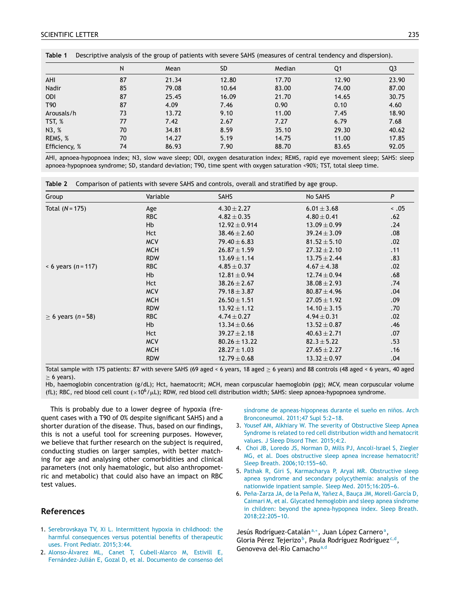<span id="page-1-0"></span>

| Table 1         | Descriptive analysis of the group of patients with severe SAHS (measures of central tendency and dispersion). |       |       |        |       |       |  |
|-----------------|---------------------------------------------------------------------------------------------------------------|-------|-------|--------|-------|-------|--|
|                 | N                                                                                                             | Mean  | SD    | Median | Q1    | Q3    |  |
| AHI             | 87                                                                                                            | 21.34 | 12.80 | 17.70  | 12.90 | 23.90 |  |
| Nadir           | 85                                                                                                            | 79.08 | 10.64 | 83.00  | 74.00 | 87.00 |  |
| <b>ODI</b>      | 87                                                                                                            | 25.45 | 16.09 | 21.70  | 14.65 | 30.75 |  |
| T <sub>90</sub> | 87                                                                                                            | 4.09  | 7.46  | 0.90   | 0.10  | 4.60  |  |
| Arousals/h      | 73                                                                                                            | 13.72 | 9.10  | 11.00  | 7.45  | 18.90 |  |
| TST, %          | 77                                                                                                            | 7.42  | 2.67  | 7.27   | 6.79  | 7.68  |  |
| N3, %           | 70                                                                                                            | 34.81 | 8.59  | 35.10  | 29.30 | 40.62 |  |
| REMS, %         | 70                                                                                                            | 14.27 | 5.19  | 14.75  | 11.00 | 17.85 |  |
| Efficiency, %   | 74                                                                                                            | 86.93 | 7.90  | 88.70  | 83.65 | 92.05 |  |

AHI, apnoea-hypopnoea index; N3, slow wave sleep; ODI, oxygen desaturation index; REMS, rapid eye movement sleep; SAHS: sleep apnoea-hypopnoea syndrome; SD, standard deviation; T90, time spent with oxygen saturation <90%; TST, total sleep time.

| Table 2 |  |  | Comparison of patients with severe SAHS and controls, overall and stratified by age group. |  |  |
|---------|--|--|--------------------------------------------------------------------------------------------|--|--|
|---------|--|--|--------------------------------------------------------------------------------------------|--|--|

| Group                   | Variable             | <b>SAHS</b>       | No SAHS          | P          |
|-------------------------|----------------------|-------------------|------------------|------------|
| Total $(N = 175)$       | Age                  | $4.30 \pm 2.27$   | $6.01 \pm 3.68$  | $\leq .05$ |
|                         | <b>RBC</b>           | $4.82 \pm 0.35$   | $4.80 \pm 0.41$  | .62        |
|                         | <b>Hb</b>            | $12.92 \pm 0.914$ | $13.09 \pm 0.99$ | .24        |
|                         | <b>Hct</b>           | $38.46 \pm 2.60$  | $39.24 \pm 3.09$ | .08        |
|                         | <b>MCV</b>           | $79.40 \pm 6.83$  | $81.52 \pm 5.10$ | .02        |
|                         | <b>MCH</b>           | $26.87 \pm 1.59$  | $27.32 \pm 2.10$ | .11        |
|                         | <b>RDW</b>           | $13.69 \pm 1.14$  | $13.75 \pm 2.44$ | .83        |
| $< 6$ years (n = 117)   | <b>RBC</b>           | $4.85 \pm 0.37$   | $4.67 \pm 4.38$  | .02        |
|                         | <b>Hb</b>            | $12.81 \pm 0.94$  | $12.74 \pm 0.94$ | .68        |
|                         | <b>Hct</b>           | $38.26 \pm 2.67$  | $38.08 \pm 2.93$ | .74        |
|                         | <b>MCV</b>           | $79.18 \pm 3.87$  | $80.87 \pm 4.96$ | .04        |
|                         | <b>MCH</b>           | $26.50 \pm 1.51$  | $27.05 \pm 1.92$ | .09        |
|                         | <b>RDW</b>           | $13.92 \pm 1.12$  | $14.10 \pm 3.15$ | .70        |
| $\geq 6$ years (n = 58) | <b>RBC</b>           | $4.74 \pm 0.27$   | $4.94 \pm 0.31$  | .02        |
|                         | <b>H<sub>b</sub></b> | $13.34 \pm 0.66$  | $13.52 \pm 0.87$ | .46        |
|                         | <b>Hct</b>           | $39.27 \pm 2.18$  | $40.63 \pm 2.71$ | .07        |
|                         | <b>MCV</b>           | $80.26 \pm 13.22$ | $82.3 \pm 5.22$  | .53        |
|                         | <b>MCH</b>           | $28.27 \pm 1.03$  | $27.65 \pm 2.27$ | .16        |
|                         | <b>RDW</b>           | $12.79 \pm 0.68$  | $13.32 \pm 0.97$ | .04        |

Total sample with 175 patients: 87 with severe SAHS (69 aged < 6 years, 18 aged ≥ 6 years) and 88 controls (48 aged < 6 years, 40 aged  $\geq$  6 years).

Hb, haemoglobin concentration (g/dL); Hct, haematocrit; MCH, mean corpuscular haemoglobin (pg); MCV, mean corpuscular volume (fL); RBC, red blood cell count ( $\times 10^6/\mu$ L); RDW, red blood cell distribution width; SAHS: sleep apnoea-hypopnoea syndrome.

This is probably due to a lower degree of hypoxia (frequent cases with a T90 of 0% despite significant SAHS) and a shorter duration of the disease. Thus, based on our findings, this is not a useful tool for screening purposes. However, we believe that further research on the subject is required, conducting studies on larger samples, with better matching for age and analysing other comorbidities and clinical parameters (not only haematologic, but also anthropometric and metabolic) that could also have an impact on RBC test values.

### **References**

- 1. [Serebrovskaya](http://refhub.elsevier.com/S2341-2879(19)30077-8/sbref0005) [TV,](http://refhub.elsevier.com/S2341-2879(19)30077-8/sbref0005) [Xi](http://refhub.elsevier.com/S2341-2879(19)30077-8/sbref0005) [L.](http://refhub.elsevier.com/S2341-2879(19)30077-8/sbref0005) [Intermittent](http://refhub.elsevier.com/S2341-2879(19)30077-8/sbref0005) [hypoxia](http://refhub.elsevier.com/S2341-2879(19)30077-8/sbref0005) [in](http://refhub.elsevier.com/S2341-2879(19)30077-8/sbref0005) [childhood:](http://refhub.elsevier.com/S2341-2879(19)30077-8/sbref0005) [the](http://refhub.elsevier.com/S2341-2879(19)30077-8/sbref0005) [harmful](http://refhub.elsevier.com/S2341-2879(19)30077-8/sbref0005) [consequences](http://refhub.elsevier.com/S2341-2879(19)30077-8/sbref0005) [versus](http://refhub.elsevier.com/S2341-2879(19)30077-8/sbref0005) [potential](http://refhub.elsevier.com/S2341-2879(19)30077-8/sbref0005) [benefits](http://refhub.elsevier.com/S2341-2879(19)30077-8/sbref0005) [of](http://refhub.elsevier.com/S2341-2879(19)30077-8/sbref0005) [therapeutic](http://refhub.elsevier.com/S2341-2879(19)30077-8/sbref0005) [uses.](http://refhub.elsevier.com/S2341-2879(19)30077-8/sbref0005) [Front](http://refhub.elsevier.com/S2341-2879(19)30077-8/sbref0005) [Pediatr.](http://refhub.elsevier.com/S2341-2879(19)30077-8/sbref0005) [2015;3:44.](http://refhub.elsevier.com/S2341-2879(19)30077-8/sbref0005)
- 2. [Alonso-Álvarez](http://refhub.elsevier.com/S2341-2879(19)30077-8/sbref0010) [ML,](http://refhub.elsevier.com/S2341-2879(19)30077-8/sbref0010) [Canet](http://refhub.elsevier.com/S2341-2879(19)30077-8/sbref0010) [T,](http://refhub.elsevier.com/S2341-2879(19)30077-8/sbref0010) [Cubell-Alarco](http://refhub.elsevier.com/S2341-2879(19)30077-8/sbref0010) [M,](http://refhub.elsevier.com/S2341-2879(19)30077-8/sbref0010) [Estivill](http://refhub.elsevier.com/S2341-2879(19)30077-8/sbref0010) [E,](http://refhub.elsevier.com/S2341-2879(19)30077-8/sbref0010) [Fernández-Julián](http://refhub.elsevier.com/S2341-2879(19)30077-8/sbref0010) [E,](http://refhub.elsevier.com/S2341-2879(19)30077-8/sbref0010) [Gozal](http://refhub.elsevier.com/S2341-2879(19)30077-8/sbref0010) [D,](http://refhub.elsevier.com/S2341-2879(19)30077-8/sbref0010) [et](http://refhub.elsevier.com/S2341-2879(19)30077-8/sbref0010) [al.](http://refhub.elsevier.com/S2341-2879(19)30077-8/sbref0010) [Documento](http://refhub.elsevier.com/S2341-2879(19)30077-8/sbref0010) [de](http://refhub.elsevier.com/S2341-2879(19)30077-8/sbref0010) [consenso](http://refhub.elsevier.com/S2341-2879(19)30077-8/sbref0010) [del](http://refhub.elsevier.com/S2341-2879(19)30077-8/sbref0010)

[síndrome](http://refhub.elsevier.com/S2341-2879(19)30077-8/sbref0010) [de](http://refhub.elsevier.com/S2341-2879(19)30077-8/sbref0010) [apneas-hipopneas](http://refhub.elsevier.com/S2341-2879(19)30077-8/sbref0010) [durante](http://refhub.elsevier.com/S2341-2879(19)30077-8/sbref0010) [el](http://refhub.elsevier.com/S2341-2879(19)30077-8/sbref0010) sueño [en](http://refhub.elsevier.com/S2341-2879(19)30077-8/sbref0010) niños. [Arch](http://refhub.elsevier.com/S2341-2879(19)30077-8/sbref0010) [Bronconeumol.](http://refhub.elsevier.com/S2341-2879(19)30077-8/sbref0010) [2011;47](http://refhub.elsevier.com/S2341-2879(19)30077-8/sbref0010) [Supl](http://refhub.elsevier.com/S2341-2879(19)30077-8/sbref0010) 5:2-18.

- 3. [Yousef](http://refhub.elsevier.com/S2341-2879(19)30077-8/sbref0015) [AM,](http://refhub.elsevier.com/S2341-2879(19)30077-8/sbref0015) [Alkhiary](http://refhub.elsevier.com/S2341-2879(19)30077-8/sbref0015) [W.](http://refhub.elsevier.com/S2341-2879(19)30077-8/sbref0015) [The](http://refhub.elsevier.com/S2341-2879(19)30077-8/sbref0015) [severity](http://refhub.elsevier.com/S2341-2879(19)30077-8/sbref0015) [of](http://refhub.elsevier.com/S2341-2879(19)30077-8/sbref0015) [Obstructive](http://refhub.elsevier.com/S2341-2879(19)30077-8/sbref0015) [Sleep](http://refhub.elsevier.com/S2341-2879(19)30077-8/sbref0015) [Apnea](http://refhub.elsevier.com/S2341-2879(19)30077-8/sbref0015) [Syndrome](http://refhub.elsevier.com/S2341-2879(19)30077-8/sbref0015) [is](http://refhub.elsevier.com/S2341-2879(19)30077-8/sbref0015) [related](http://refhub.elsevier.com/S2341-2879(19)30077-8/sbref0015) [to](http://refhub.elsevier.com/S2341-2879(19)30077-8/sbref0015) [red](http://refhub.elsevier.com/S2341-2879(19)30077-8/sbref0015) [cell](http://refhub.elsevier.com/S2341-2879(19)30077-8/sbref0015) [distribution](http://refhub.elsevier.com/S2341-2879(19)30077-8/sbref0015) [width](http://refhub.elsevier.com/S2341-2879(19)30077-8/sbref0015) [and](http://refhub.elsevier.com/S2341-2879(19)30077-8/sbref0015) [hematocrit](http://refhub.elsevier.com/S2341-2879(19)30077-8/sbref0015) [values.](http://refhub.elsevier.com/S2341-2879(19)30077-8/sbref0015) [J](http://refhub.elsevier.com/S2341-2879(19)30077-8/sbref0015) [Sleep](http://refhub.elsevier.com/S2341-2879(19)30077-8/sbref0015) [Disord](http://refhub.elsevier.com/S2341-2879(19)30077-8/sbref0015) [Ther.](http://refhub.elsevier.com/S2341-2879(19)30077-8/sbref0015) [2015;4:2.](http://refhub.elsevier.com/S2341-2879(19)30077-8/sbref0015)
- 4. [Choi](http://refhub.elsevier.com/S2341-2879(19)30077-8/sbref0020) [JB,](http://refhub.elsevier.com/S2341-2879(19)30077-8/sbref0020) [Loredo](http://refhub.elsevier.com/S2341-2879(19)30077-8/sbref0020) [JS,](http://refhub.elsevier.com/S2341-2879(19)30077-8/sbref0020) [Norman](http://refhub.elsevier.com/S2341-2879(19)30077-8/sbref0020) [D,](http://refhub.elsevier.com/S2341-2879(19)30077-8/sbref0020) [Mills](http://refhub.elsevier.com/S2341-2879(19)30077-8/sbref0020) [PJ,](http://refhub.elsevier.com/S2341-2879(19)30077-8/sbref0020) [Ancoli-Israel](http://refhub.elsevier.com/S2341-2879(19)30077-8/sbref0020) [S,](http://refhub.elsevier.com/S2341-2879(19)30077-8/sbref0020) [Ziegler](http://refhub.elsevier.com/S2341-2879(19)30077-8/sbref0020) [MG,](http://refhub.elsevier.com/S2341-2879(19)30077-8/sbref0020) [et](http://refhub.elsevier.com/S2341-2879(19)30077-8/sbref0020) [al.](http://refhub.elsevier.com/S2341-2879(19)30077-8/sbref0020) [Does](http://refhub.elsevier.com/S2341-2879(19)30077-8/sbref0020) [obstructive](http://refhub.elsevier.com/S2341-2879(19)30077-8/sbref0020) [sleep](http://refhub.elsevier.com/S2341-2879(19)30077-8/sbref0020) [apnea](http://refhub.elsevier.com/S2341-2879(19)30077-8/sbref0020) [increase](http://refhub.elsevier.com/S2341-2879(19)30077-8/sbref0020) [hematocrit?](http://refhub.elsevier.com/S2341-2879(19)30077-8/sbref0020) [Sleep](http://refhub.elsevier.com/S2341-2879(19)30077-8/sbref0020) [Breath.](http://refhub.elsevier.com/S2341-2879(19)30077-8/sbref0020) 2006;10:155-60.
- 5. [Pathak](http://refhub.elsevier.com/S2341-2879(19)30077-8/sbref0025) [R,](http://refhub.elsevier.com/S2341-2879(19)30077-8/sbref0025) [Giri](http://refhub.elsevier.com/S2341-2879(19)30077-8/sbref0025) [S,](http://refhub.elsevier.com/S2341-2879(19)30077-8/sbref0025) [Karmacharya](http://refhub.elsevier.com/S2341-2879(19)30077-8/sbref0025) [P,](http://refhub.elsevier.com/S2341-2879(19)30077-8/sbref0025) [Aryal](http://refhub.elsevier.com/S2341-2879(19)30077-8/sbref0025) [MR.](http://refhub.elsevier.com/S2341-2879(19)30077-8/sbref0025) [Obstructive](http://refhub.elsevier.com/S2341-2879(19)30077-8/sbref0025) [sleep](http://refhub.elsevier.com/S2341-2879(19)30077-8/sbref0025) [apnea](http://refhub.elsevier.com/S2341-2879(19)30077-8/sbref0025) [syndrome](http://refhub.elsevier.com/S2341-2879(19)30077-8/sbref0025) [and](http://refhub.elsevier.com/S2341-2879(19)30077-8/sbref0025) [secondary](http://refhub.elsevier.com/S2341-2879(19)30077-8/sbref0025) [polycythemia:](http://refhub.elsevier.com/S2341-2879(19)30077-8/sbref0025) [analysis](http://refhub.elsevier.com/S2341-2879(19)30077-8/sbref0025) [of](http://refhub.elsevier.com/S2341-2879(19)30077-8/sbref0025) [the](http://refhub.elsevier.com/S2341-2879(19)30077-8/sbref0025) [nationwide](http://refhub.elsevier.com/S2341-2879(19)30077-8/sbref0025) [inpatient](http://refhub.elsevier.com/S2341-2879(19)30077-8/sbref0025) [sample.](http://refhub.elsevier.com/S2341-2879(19)30077-8/sbref0025) [Sleep](http://refhub.elsevier.com/S2341-2879(19)30077-8/sbref0025) [Med.](http://refhub.elsevier.com/S2341-2879(19)30077-8/sbref0025) [2015;16:205](http://refhub.elsevier.com/S2341-2879(19)30077-8/sbref0025)-[6.](http://refhub.elsevier.com/S2341-2879(19)30077-8/sbref0025)
- 6. Peña-Zarza [JA,](http://refhub.elsevier.com/S2341-2879(19)30077-8/sbref0030) [de](http://refhub.elsevier.com/S2341-2879(19)30077-8/sbref0030) [la](http://refhub.elsevier.com/S2341-2879(19)30077-8/sbref0030) Peña [M,](http://refhub.elsevier.com/S2341-2879(19)30077-8/sbref0030) Yañez [A,](http://refhub.elsevier.com/S2341-2879(19)30077-8/sbref0030) Bauça [JM,](http://refhub.elsevier.com/S2341-2879(19)30077-8/sbref0030) [Morell-García](http://refhub.elsevier.com/S2341-2879(19)30077-8/sbref0030) [D,](http://refhub.elsevier.com/S2341-2879(19)30077-8/sbref0030) [Caimari](http://refhub.elsevier.com/S2341-2879(19)30077-8/sbref0030) [M,](http://refhub.elsevier.com/S2341-2879(19)30077-8/sbref0030) [et](http://refhub.elsevier.com/S2341-2879(19)30077-8/sbref0030) [al.](http://refhub.elsevier.com/S2341-2879(19)30077-8/sbref0030) [Glycated](http://refhub.elsevier.com/S2341-2879(19)30077-8/sbref0030) [hemoglobin](http://refhub.elsevier.com/S2341-2879(19)30077-8/sbref0030) [and](http://refhub.elsevier.com/S2341-2879(19)30077-8/sbref0030) [sleep](http://refhub.elsevier.com/S2341-2879(19)30077-8/sbref0030) [apnea](http://refhub.elsevier.com/S2341-2879(19)30077-8/sbref0030) [síndrome](http://refhub.elsevier.com/S2341-2879(19)30077-8/sbref0030) [in](http://refhub.elsevier.com/S2341-2879(19)30077-8/sbref0030) [children:](http://refhub.elsevier.com/S2341-2879(19)30077-8/sbref0030) [beyond](http://refhub.elsevier.com/S2341-2879(19)30077-8/sbref0030) [the](http://refhub.elsevier.com/S2341-2879(19)30077-8/sbref0030) [apnea-hypopnea](http://refhub.elsevier.com/S2341-2879(19)30077-8/sbref0030) [index.](http://refhub.elsevier.com/S2341-2879(19)30077-8/sbref0030) [Sleep](http://refhub.elsevier.com/S2341-2879(19)30077-8/sbref0030) [Breath.](http://refhub.elsevier.com/S2341-2879(19)30077-8/sbref0030) [2018;22:205](http://refhub.elsevier.com/S2341-2879(19)30077-8/sbref0030)-[10.](http://refhub.elsevier.com/S2341-2879(19)30077-8/sbref0030)

Jesús Rodríguez-Catalán<sup>a,</sup>\*, [Jua](#page-2-0)n López C[a](#page-2-0)rnero<sup>a</sup>, Gloria Pérez Tejerizo<sup>b</sup>, [Pa](#page-2-0)ula [Rodr](#page-2-0)íguez Ro[d](#page-2-0)ríguez<sup>c,d</sup>, Genoveva [d](#page-2-0)el-Río Camacho<sup>a,d</sup>